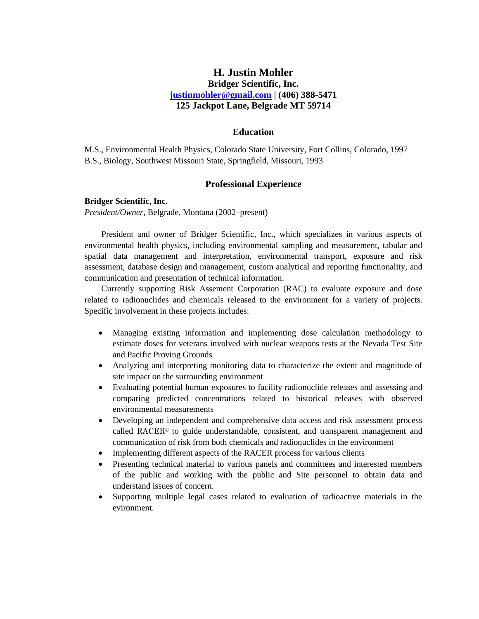# **H. Justin Mohler Bridger Scientific, Inc. [justinmohler@gmail.com](mailto:justinmohler@gmail.com) | (406) 388-5471 125 Jackpot Lane, Belgrade MT 59714**

### **Education**

M.S., Environmental Health Physics, Colorado State University, Fort Collins, Colorado, 1997 B.S., Biology, Southwest Missouri State, Springfield, Missouri, 1993

# **Professional Experience**

### **Bridger Scientific, Inc.**

*President/Owner,* Belgrade, Montana (2002–present)

President and owner of Bridger Scientific, Inc., which specializes in various aspects of environmental health physics, including environmental sampling and measurement, tabular and spatial data management and interpretation, environmental transport, exposure and risk assessment, database design and management, custom analytical and reporting functionality, and communication and presentation of technical information.

Currently supporting Risk Assement Corporation (RAC) to evaluate exposure and dose related to radionuclides and chemicals released to the environment for a variety of projects. Specific involvement in these projects includes:

- Managing existing information and implementing dose calculation methodology to estimate doses for veterans involved with nuclear weapons tests at the Nevada Test Site and Pacific Proving Grounds
- Analyzing and interpreting monitoring data to characterize the extent and magnitude of site impact on the surrounding environment
- Evaluating potential human exposures to facility radionuclide releases and assessing and comparing predicted concentrations related to historical releases with observed environmental measurements
- Developing an independent and comprehensive data access and risk assessment process called RACER<sup> $\circ$ </sup> to guide understandable, consistent, and transparent management and communication of risk from both chemicals and radionuclides in the environment
- Implementing different aspects of the RACER process for various clients
- Presenting technical material to various panels and committees and interested members of the public and working with the public and Site personnel to obtain data and understand issues of concern.
- Supporting multiple legal cases related to evaluation of radioactive materials in the evironment.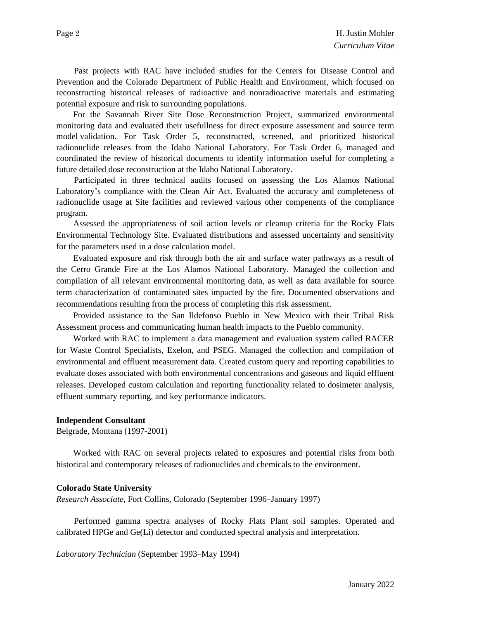Past projects with RAC have included studies for the Centers for Disease Control and Prevention and the Colorado Department of Public Health and Environment, which focused on reconstructing historical releases of radioactive and nonradioactive materials and estimating potential exposure and risk to surrounding populations.

For the Savannah River Site Dose Reconstruction Project, summarized environmental monitoring data and evaluated their usefullness for direct exposure assessment and source term model validation. For Task Order 5, reconstructed, screened, and prioritized historical radionuclide releases from the Idaho National Laboratory. For Task Order 6, managed and coordinated the review of historical documents to identify information useful for completing a future detailed dose reconstruction at the Idaho National Laboratory.

Participated in three technical audits focused on assessing the Los Alamos National Laboratory's compliance with the Clean Air Act. Evaluated the accuracy and completeness of radionuclide usage at Site facilities and reviewed various other compenents of the compliance program.

Assessed the appropriateness of soil action levels or cleanup criteria for the Rocky Flats Environmental Technology Site. Evaluated distributions and assessed uncertainty and sensitivity for the parameters used in a dose calculation model.

Evaluated exposure and risk through both the air and surface water pathways as a result of the Cerro Grande Fire at the Los Alamos National Laboratory. Managed the collection and compilation of all relevant environmental monitoring data, as well as data available for source term characterization of contaminated sites impacted by the fire. Documented observations and recommendations resulting from the process of completing this risk assessment.

Provided assistance to the San Ildefonso Pueblo in New Mexico with their Tribal Risk Assessment process and communicating human health impacts to the Pueblo community.

Worked with RAC to implement a data management and evaluation system called RACER for Waste Control Specialists, Exelon, and PSEG. Managed the collection and compilation of environmental and effluent measurement data. Created custom query and reporting capabilities to evaluate doses associated with both environmental concentrations and gaseous and liquid effluent releases. Developed custom calculation and reporting functionality related to dosimeter analysis, effluent summary reporting, and key performance indicators.

### **Independent Consultant**

Belgrade, Montana (1997-2001)

Worked with RAC on several projects related to exposures and potential risks from both historical and contemporary releases of radionuclides and chemicals to the environment.

#### **Colorado State University**

*Research Associate*, Fort Collins, Colorado (September 1996–January 1997)

Performed gamma spectra analyses of Rocky Flats Plant soil samples. Operated and calibrated HPGe and Ge(Li) detector and conducted spectral analysis and interpretation.

*Laboratory Technician* (September 1993–May 1994)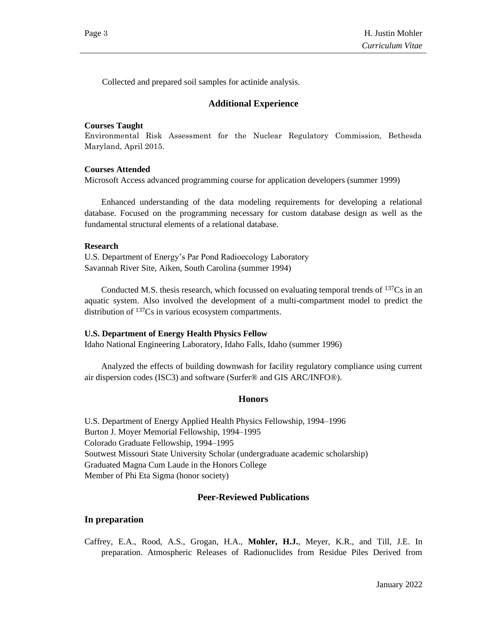Collected and prepared soil samples for actinide analysis.

# **Additional Experience**

### **Courses Taught**

Environmental Risk Assessment for the Nuclear Regulatory Commission, Bethesda Maryland, April 2015.

### **Courses Attended**

Microsoft Access advanced programming course for application developers (summer 1999)

Enhanced understanding of the data modeling requirements for developing a relational database. Focused on the programming necessary for custom database design as well as the fundamental structural elements of a relational database.

#### **Research**

U.S. Department of Energy's Par Pond Radioecology Laboratory Savannah River Site, Aiken, South Carolina (summer 1994)

Conducted M.S. thesis research, which focussed on evaluating temporal trends of <sup>137</sup>Cs in an aquatic system. Also involved the development of a multi-compartment model to predict the distribution of <sup>137</sup>Cs in various ecosystem compartments.

#### **U.S. Department of Energy Health Physics Fellow**

Idaho National Engineering Laboratory, Idaho Falls, Idaho (summer 1996)

Analyzed the effects of building downwash for facility regulatory compliance using current air dispersion codes (ISC3) and software (Surfer® and GIS ARC/INFO®).

# **Honors**

U.S. Department of Energy Applied Health Physics Fellowship, 1994–1996 Burton J. Moyer Memorial Fellowship, 1994–1995 Colorado Graduate Fellowship, 1994–1995 Soutwest Missouri State University Scholar (undergraduate academic scholarship) Graduated Magna Cum Laude in the Honors College Member of Phi Eta Sigma (honor society)

### **Peer-Reviewed Publications**

### **In preparation**

Caffrey, E.A., Rood, A.S., Grogan, H.A., **Mohler, H.J.**, Meyer, K.R., and Till, J.E. In preparation. Atmospheric Releases of Radionuclides from Residue Piles Derived from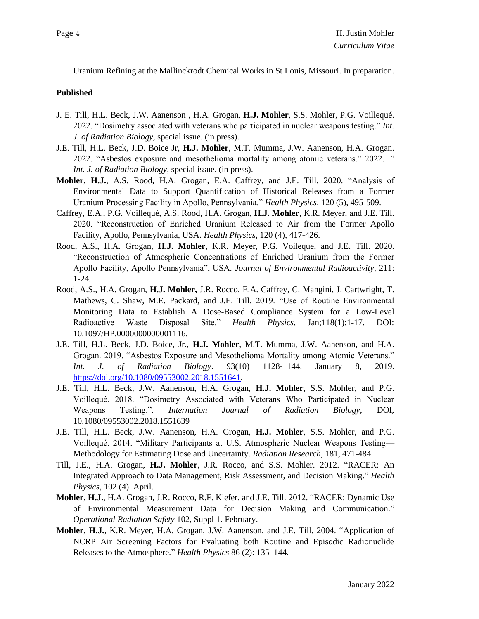Uranium Refining at the Mallinckrodt Chemical Works in St Louis, Missouri. In preparation.

# **Published**

- J. E. Till, H.L. Beck, J.W. Aanenson , H.A. Grogan, **H.J. Mohler**, S.S. Mohler, P.G. Voillequé. 2022. "Dosimetry associated with veterans who participated in nuclear weapons testing." *Int. J. of Radiation Biology*, special issue. (in press).
- J.E. Till, H.L. Beck, J.D. Boice Jr, **H.J. Mohler**, M.T. Mumma, J.W. Aanenson, H.A. Grogan. 2022. "Asbestos exposure and mesothelioma mortality among atomic veterans." 2022. ." *Int. J. of Radiation Biology*, special issue. (in press).
- **Mohler, H.J.**, A.S. Rood, H.A. Grogan, E.A. Caffrey, and J.E. Till. 2020. "Analysis of Environmental Data to Support Quantification of Historical Releases from a Former Uranium Processing Facility in Apollo, Pennsylvania." *Health Physics,* 120 (5), 495-509.
- Caffrey, E.A., P.G. Voillequé, A.S. Rood, H.A. Grogan, **H.J. Mohler**, K.R. Meyer, and J.E. Till. 2020. "Reconstruction of Enriched Uranium Released to Air from the Former Apollo Facility, Apollo, Pennsylvania, USA. *Health Physics,* 120 (4), 417-426.
- Rood, A.S., H.A. Grogan, **H.J. Mohler,** K.R. Meyer, P.G. Voileque, and J.E. Till. 2020. "Reconstruction of Atmospheric Concentrations of Enriched Uranium from the Former Apollo Facility, Apollo Pennsylvania", USA. *Journal of Environmental Radioactivity,* 211: 1-24*.*
- Rood, A.S., H.A. Grogan, **H.J. Mohler,** J.R. Rocco, E.A. Caffrey, C. Mangini, J. Cartwright, T. Mathews, C. Shaw, M.E. Packard, and J.E. Till. 2019. "Use of Routine Environmental Monitoring Data to Establish A Dose-Based Compliance System for a Low-Level Radioactive Waste Disposal Site." *Health Physics*, Jan;118(1):1-17. DOI: 10.1097/HP.0000000000001116.
- J.E. Till, H.L. Beck, J.D. Boice, Jr., **H.J. Mohler**, M.T. Mumma, J.W. Aanenson, and H.A. Grogan. 2019. "Asbestos Exposure and Mesothelioma Mortality among Atomic Veterans." *Int. J. of Radiation Biology*. 93(10) 1128-1144. January 8, 2019. [https://doi.org/10.1080/09553002.2018.1551641.](https://doi.org/10.1080/09553002.2018.1551641)
- J.E. Till, H.L. Beck, J.W. Aanenson, H.A. Grogan, **H.J. Mohler**, S.S. Mohler, and P.G. Voillequé. 2018. "Dosimetry Associated with Veterans Who Participated in Nuclear Weapons Testing.". *Internation Journal of Radiation Biology*, DOI, 10.1080/09553002.2018.1551639
- J.E. Till, H.L. Beck, J.W. Aanenson, H.A. Grogan, **H.J. Mohler**, S.S. Mohler, and P.G. Voillequé. 2014. "Military Participants at U.S. Atmospheric Nuclear Weapons Testing— Methodology for Estimating Dose and Uncertainty. *Radiation Research*, 181, 471-484.
- Till, J.E., H.A. Grogan, **H.J. Mohler**, J.R. Rocco, and S.S. Mohler. 2012. "RACER: An Integrated Approach to Data Management, Risk Assessment, and Decision Making." *Health Physics,* 102 (4). April.
- **Mohler, H.J.**, H.A. Grogan, J.R. Rocco, R.F. Kiefer, and J.E. Till. 2012. "RACER: Dynamic Use of Environmental Measurement Data for Decision Making and Communication." *Operational Radiation Safety* 102, Suppl 1. February.
- **Mohler, H.J.**, K.R. Meyer, H.A. Grogan, J.W. Aanenson, and J.E. Till. 2004. "Application of NCRP Air Screening Factors for Evaluating both Routine and Episodic Radionuclide Releases to the Atmosphere." *Health Physics* 86 (2): 135–144.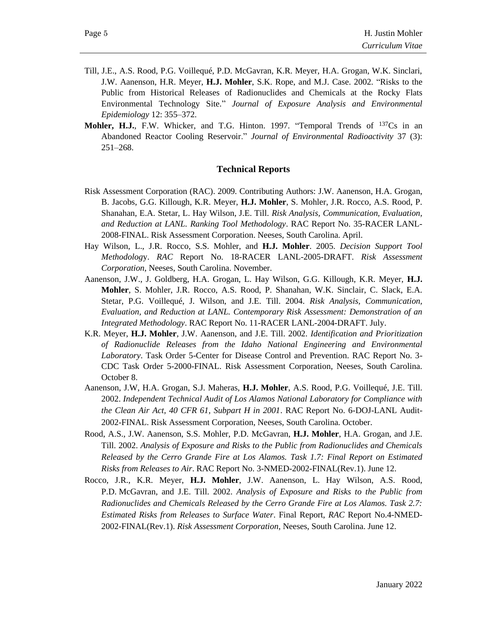- Till, J.E., A.S. Rood, P.G. Voillequé, P.D. McGavran, K.R. Meyer, H.A. Grogan, W.K. Sinclari, J.W. Aanenson, H.R. Meyer, **H.J. Mohler**, S.K. Rope, and M.J. Case. 2002. "Risks to the Public from Historical Releases of Radionuclides and Chemicals at the Rocky Flats Environmental Technology Site.ˮ *Journal of Exposure Analysis and Environmental Epidemiology* 12: 355–372.
- **Mohler, H.J.**, F.W. Whicker, and T.G. Hinton. 1997. "Temporal Trends of <sup>137</sup>Cs in an Abandoned Reactor Cooling Reservoir." *Journal of Environmental Radioactivity* 37 (3): 251–268.

# **Technical Reports**

- Risk Assessment Corporation (RAC). 2009. Contributing Authors: J.W. Aanenson, H.A. Grogan, B. Jacobs, G.G. Killough, K.R. Meyer, **H.J. Mohler**, S. Mohler, J.R. Rocco, A.S. Rood, P. Shanahan, E.A. Stetar, L. Hay Wilson, J.E. Till. *Risk Analysis, Communication, Evaluation, and Reduction at LANL. Ranking Tool Methodology*. RAC Report No. 35-RACER LANL-2008-FINAL. Risk Assessment Corporation. Neeses, South Carolina. April.
- Hay Wilson, L., J.R. Rocco, S.S. Mohler, and **H.J. Mohler**. 2005. *Decision Support Tool Methodolog*y. *RAC* Report No. 18-RACER LANL-2005-DRAFT. *Risk Assessment Corporation*, Neeses, South Carolina. November.
- Aanenson, J.W., J. Goldberg, H.A. Grogan, L. Hay Wilson, G.G. Killough, K.R. Meyer, **H.J. Mohler**, S. Mohler, J.R. Rocco, A.S. Rood, P. Shanahan, W.K. Sinclair, C. Slack, E.A. Stetar, P.G. Voillequé, J. Wilson, and J.E. Till. 2004. *Risk Analysis, Communication, Evaluation, and Reduction at LANL. Contemporary Risk Assessment: Demonstration of an Integrated Methodology*. RAC Report No. 11-RACER LANL-2004-DRAFT. July.
- K.R. Meyer, **H.J. Mohler**, J.W. Aanenson, and J.E. Till. 2002. *Identification and Prioritization of Radionuclide Releases from the Idaho National Engineering and Environmental Laboratory*. Task Order 5-Center for Disease Control and Prevention. RAC Report No. 3- CDC Task Order 5-2000-FINAL. Risk Assessment Corporation, Neeses, South Carolina. October 8.
- Aanenson, J.W, H.A. Grogan, S.J. Maheras, **H.J. Mohler**, A.S. Rood, P.G. Voillequé, J.E. Till. 2002. *Independent Technical Audit of Los Alamos National Laboratory for Compliance with the Clean Air Act, 40 CFR 61, Subpart H in 2001*. RAC Report No. 6-DOJ-LANL Audit-2002-FINAL. Risk Assessment Corporation, Neeses, South Carolina. October.
- Rood, A.S., J.W. Aanenson, S.S. Mohler, P.D. McGavran, **H.J. Mohler**, H.A. Grogan, and J.E. Till. 2002. *Analysis of Exposure and Risks to the Public from Radionuclides and Chemicals Released by the Cerro Grande Fire at Los Alamos. Task 1.7: Final Report on Estimated Risks from Releases to Air*. RAC Report No. 3-NMED-2002-FINAL(Rev.1). June 12.
- Rocco, J.R., K.R. Meyer, **H.J. Mohler**, J.W. Aanenson, L. Hay Wilson, A.S. Rood, P.D. McGavran, and J.E. Till. 2002. *Analysis of Exposure and Risks to the Public from Radionuclides and Chemicals Released by the Cerro Grande Fire at Los Alamos. Task 2.7: Estimated Risks from Releases to Surface Water*. Final Report, *RAC* Report No.4-NMED-2002-FINAL(Rev.1). *Risk Assessment Corporation*, Neeses, South Carolina. June 12.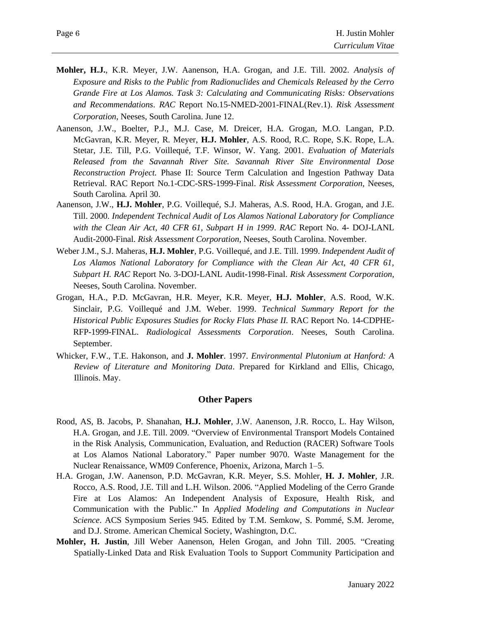- **Mohler, H.J.**, K.R. Meyer, J.W. Aanenson, H.A. Grogan, and J.E. Till. 2002. *Analysis of Exposure and Risks to the Public from Radionuclides and Chemicals Released by the Cerro Grande Fire at Los Alamos. Task 3: Calculating and Communicating Risks: Observations and Recommendations*. *RAC* Report No.15-NMED-2001-FINAL(Rev.1). *Risk Assessment Corporation*, Neeses, South Carolina. June 12.
- Aanenson, J.W., Boelter, P.J., M.J. Case, M. Dreicer, H.A. Grogan, M.O. Langan, P.D. McGavran, K.R. Meyer, R. Meyer, **H.J. Mohler**, A.S. Rood, R.C. Rope, S.K. Rope, L.A. Stetar, J.E. Till, P.G. Voillequé, T.F. Winsor, W. Yang. 2001. *Evaluation of Materials Released from the Savannah River Site. Savannah River Site Environmental Dose Reconstruction Project.* Phase II: Source Term Calculation and Ingestion Pathway Data Retrieval. RAC Report No.1-CDC-SRS-1999-Final. *Risk Assessment Corporation*, Neeses, South Carolina*.* April 30.
- Aanenson, J.W., **H.J. Mohler**, P.G. Voillequé, S.J. Maheras, A.S. Rood, H.A. Grogan, and J.E. Till. 2000. *Independent Technical Audit of Los Alamos National Laboratory for Compliance with the Clean Air Act, 40 CFR 61, Subpart H in 1999*. *RAC* Report No. 4- DOJ-LANL Audit-2000-Final. *Risk Assessment Corporation,* Neeses, South Carolina. November.
- Weber J.M., S.J. Maheras, **H.J. Mohler**, P.G. Voillequé, and J.E. Till. 1999. *Independent Audit of Los Alamos National Laboratory for Compliance with the Clean Air Act, 40 CFR 61, Subpart H. RAC* Report No. 3-DOJ-LANL Audit-1998-Final. *Risk Assessment Corporation,*  Neeses, South Carolina. November.
- Grogan, H.A., P.D. McGavran, H.R. Meyer, K.R. Meyer, **H.J. Mohler**, A.S. Rood, W.K. Sinclair, P.G. Voillequé and J.M. Weber. 1999. *Technical Summary Report for the Historical Public Exposures Studies for Rocky Flats Phase II.* RAC Report No. 14-CDPHE-RFP-1999-FINAL. *Radiological Assessments Corporation*. Neeses, South Carolina. September.
- Whicker, F.W., T.E. Hakonson, and **J. Mohler**. 1997. *Environmental Plutonium at Hanford: A Review of Literature and Monitoring Data*. Prepared for Kirkland and Ellis, Chicago, Illinois. May.

# **Other Papers**

- Rood, AS, B. Jacobs, P. Shanahan, **H.J. Mohler**, J.W. Aanenson, J.R. Rocco, L. Hay Wilson, H.A. Grogan, and J.E. Till. 2009. "Overview of Environmental Transport Models Contained in the Risk Analysis, Communication, Evaluation, and Reduction (RACER) Software Tools at Los Alamos National Laboratory." Paper number 9070. Waste Management for the Nuclear Renaissance, WM09 Conference, Phoenix, Arizona, March 1–5.
- H.A. Grogan, J.W. Aanenson, P.D. McGavran, K.R. Meyer, S.S. Mohler, **H. J. Mohler**, J.R. Rocco, A.S. Rood, J.E. Till and L.H. Wilson. 2006. "Applied Modeling of the Cerro Grande Fire at Los Alamos: An Independent Analysis of Exposure, Health Risk, and Communication with the Public." In *Applied Modeling and Computations in Nuclear Science*. ACS Symposium Series 945. Edited by T.M. Semkow, S. Pommé, S.M. Jerome, and D.J. Strome. American Chemical Society, Washington, D.C.
- **Mohler, H. Justin**, Jill Weber Aanenson, Helen Grogan, and John Till. 2005. "Creating Spatially-Linked Data and Risk Evaluation Tools to Support Community Participation and